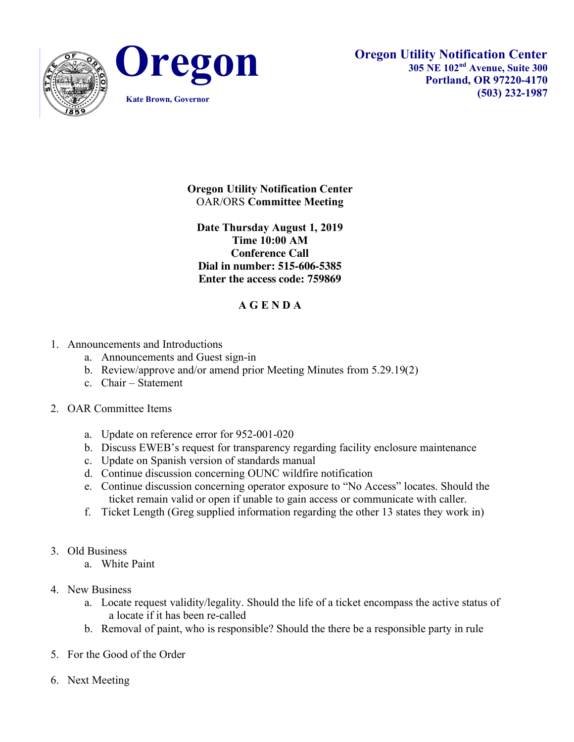



## **Oregon Utility Notification Center** OAR/ORS **Committee Meeting**

**Date Thursday August 1, 2019 Time 10:00 AM Conference Call Dial in number: 515-606-5385 Enter the access code: 759869**

## **A G E N D A**

- 1. Announcements and Introductions
	- a. Announcements and Guest sign-in
	- b. Review/approve and/or amend prior Meeting Minutes from 5.29.19(2)
	- c. Chair Statement

## 2. OAR Committee Items

- a. Update on reference error for 952-001-020
- b. Discuss EWEB's request for transparency regarding facility enclosure maintenance
- c. Update on Spanish version of standards manual
- d. Continue discussion concerning OUNC wildfire notification
- e. Continue discussion concerning operator exposure to "No Access" locates. Should the ticket remain valid or open if unable to gain access or communicate with caller.
- f. Ticket Length (Greg supplied information regarding the other 13 states they work in)
- 3. Old Business
	- a. White Paint
- 4. New Business
	- a. Locate request validity/legality. Should the life of a ticket encompass the active status of a locate if it has been re-called
	- b. Removal of paint, who is responsible? Should the there be a responsible party in rule
- 5. For the Good of the Order
- 6. Next Meeting